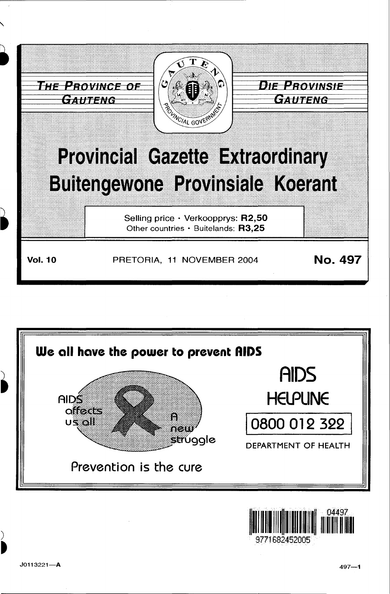





)

~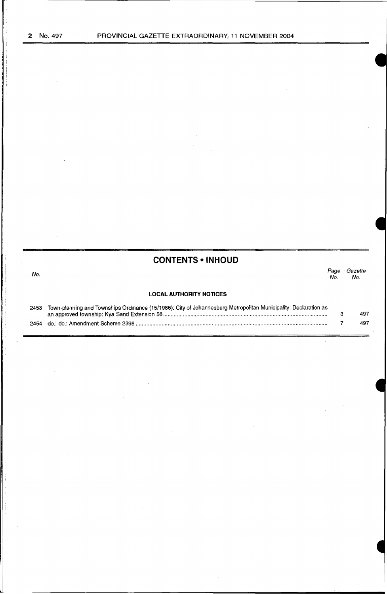No.

# **CONTENTS • INHOUD**

#### Page Gazette<br>No. No.  $N\sigma$ .

# **LOCAL AUTHORITY NOTICES**

| 2453 | Town-planning and Townships Ordinance (15/1986): City of Johannesburg Metropolitan Municipality: Declaration as |     |
|------|-----------------------------------------------------------------------------------------------------------------|-----|
|      |                                                                                                                 | 497 |
|      |                                                                                                                 | 497 |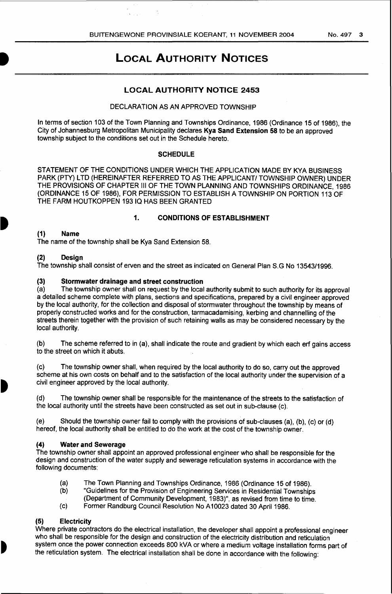# **LOCAL AUTHORITY NOTICES**

# **LOCAL AUTHORITY NOTICE 2453**

## DECLARATION AS AN APPROVED TOWNSHIP

In terms of section 103 of the Town Planning and Townships Ordinance, 1986 (Ordinance 15 of 1986), the City of Johannesburg Metropolitan Municipality declares **Kya Sand Extension 58** to be an approved township subject to the conditions set out in the Schedule hereto.

## **SCHEDULE**

STATEMENT OF THE CONDITIONS UNDER WHICH THE APPLICATION MADE BY KYA BUSINESS PARK (PTY) LTD (HEREINAFTER REFERRED TO AS THE APPLICANT/ TOWNSHIP OWNER) UNDER THE PROVISIONS OF CHAPTER Ill OF THE TOWN PLANNING AND TOWNSHIPS ORDINANCE, 1986 (ORDINANCE 15 OF 1986), FOR PERMISSION TO ESTABLISH A TOWNSHIP ON PORTION 113 OF THE FARM HOUTKOPPEN 19310 HAS BEEN GRANTED

## **1. CONDITIONS OF ESTABLISHMENT**

## **(1) Name**

The name of the township shall be Kya Sand Extension 58.

# **(2) Design**

The township shall consist of erven and the street as indicated on General Plan S.G No 13543/1996.

## (3) **Stormwater drainage and street construction**

(a) The township owner shall on request by the local authority submit to such authority for its approval a detailed scheme complete with plans, sections and specifications, prepared by a civil engineer approved by the local authority, for the collection and disposal of stormwater throughout the township by means of properly constructed works and for the construction, tarmacadamising, kerbing and channelling of the streets therein together with the provision of such retaining walls as may be considered necessary by the local authority.

(b) The scheme referred to in (a), shall indicate the route and gradient by which each erf gains access to the street on which it abuts.

(c) The township owner shall, when required by the local authority to do so, carry out the approved scheme at his own costs on behalf and to the satisfaction of the local authority under the supervision of a civil engineer approved by the local authority.

(d) The township owner shall be responsible for the maintenance of the streets to the satisfaction of the local authority until the streets have been constructed as set out in sub-clause (c).

(e) Should the township owner fail to comply with the provisions of sub-clauses (a), (b), (c) or (d) hereof, the local authority shall be entitled to do the work at the cost of the township owner.

# **(4) Water and Sewerage**

The township owner shall appoint an approved professional engineer who shall be responsible for the design and construction of the water supply and sewerage reticulation systems in accordance with the following documents:

- (a) The Town Planning and Townships Ordinance, 1986 (Ordinance 15 of 1986).
- (b) "Guidelines for the Provision of Engineering Services in Residential Townships
- (Department of Community Development, 1983)", as revised from time to time.
- (c) Former Randburg Council Resolution No A10023 dated 30 April1986.

# **(5) Electricity**

Where private contractors do the electrical installation, the developer shall appoint a professional engineer who shall be responsible for the design and construction of the electricity distribution and reticulation system once the power connection exceeds 800 kVA or where a medium voltage installation forms part of the reticulation system. The electrical installation shall be done in accordance with the following: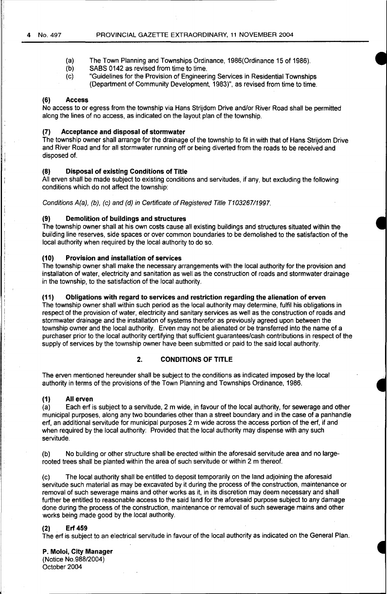- (a) The Town Planning and Townships Ordinance, 1986(0rdinance 15 of 1986).
- (b) SABS 0142 as revised from time to time.
- (c) "Guidelines for the Provision of Engineering Services in Residential Townships (Department of Community Development, 1983)", as revised from time to time.

#### **(6) Access**

No access to or egress from the township via Hans Strijdom Drive and/or River Road shall be permitted along the lines of no access. as indicated on the layout plan of the township.

## **(7) Acceptance and disposal of stormwater**

The township owner shall arrange for the drainage of the township to fit in with that of Hans Strijdom Drive and River Road and for all stormwater running off or being diverted from the roads to be received and disposed of.

# **(8) Disposal of existing Conditions of Title**

All erven shall be made subject to existing conditions and servitudes, if any, but excluding the following conditions which do not affect the township:

Conditions A(a), (b), (c) and (d) in Certificate of Registered Title T10326711997.

## **(9) Demolition of buildings and structures**

The township owner shall at his own costs cause all existing buildings and structures situated within the building line reserves, side spaces or over common boundaries to be demolished to the satisfaction of the local authority when required by the local authority to do so.

# **(10) Provision and installation of services**

The township owner shall make the necessary arrangements with the local authority for the provision and installation of water, electricity and sanitation as well as the construction of roads and stormwater drainage in the township, to the satisfaction of the local authority.

#### **(11) Obligations with regard to services and restriction regarding the alienation of erven**

The township owner shall within such period as the local authority may determine, fulfil his obligations in respect of the provision of water, electricity and sanitary services as well as the construction of roads and stormwater drainage and the installation of systems therefor as previously agreed upon between the township owner and the local authority. Erven may not be alienated or be transferred into the name of a purchaser prior to the local authority certifying that sufficient guarantees/cash contributions in respect of the supply of services by the township owner have been submitted or paid to the said local authority.

## **2. CONDITIONS OF TITLE**

The erven mentioned hereunder shall be subject to the conditions as indicated imposed by the local authority in terms of the provisions of the Town Planning and Townships Ordinance, 1986.

## **(1) All erven**

 $\mathbb{I}$  ,

"j

(a) Each erf is subject to a servitude, 2m wide, in favour of the local authority, for sewerage and other municipal purposes, along any two boundaries other than a street boundary and in the case of a panhandle erf, an additional servitude for municipal purposes 2 m wide across the access portion of the erf, if and when required by the local authority: Provided that the local authority may dispense with any such servitude.

(b) No building or other structure shall be erected within the aforesaid servitude area and no largerooted trees shall be planted within the area of such servitude or within 2 m thereof.

(c) The local authority shall be entitled to deposit temporarily on the land adjoining the aforesaid servitude such material as may be excavated by it during the process of the construction, maintenance or removal of such sewerage mains and other works as it, in its discretion may deem necessary and shall further be entitled to reasonable access to the said land for the aforesaid purpose subject to any damage done during the process of the construction, maintenance or removal of such sewerage mains and other works being made good by the local authority.

#### **(2) Erf 459**

The erf is subject to an electrical servitude in favour of the local authority as indicated on the General Plan.

#### **P. Moloi, City Manager**

(Notice No.988/2004) October 2004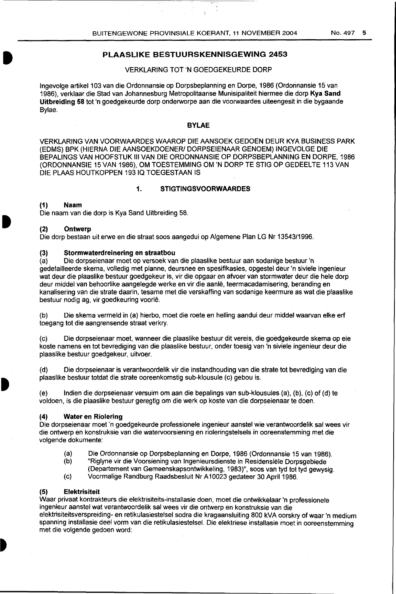# **PLAASLIKE BESTUURSKENNISGEWING 2453**

## VERKLARING TOT 'N GOEDGEKEURDE DORP

lngevolge artikel 103 van die Ordonnansie op Dorpsbeplanning en Dorpe, 1986 (Ordonnansie 15 van 1986), verklaar die Stad van Johannesburg Metropolitaanse Munisipaliteit hiermee die dorp **Kya Sand Uitbreiding 58** tot 'n goedgekeurde dorp onderworpe aan die voorwaardes uiteengesit in die bygaande Bylae.

#### **BYLAE**

VERKLARING VAN VOORWAARDES WAAROP DIE AANSOEK GEDOEN DEUR KYA BUSINESS PARK (EDMS) BPK (HIERNA DIE AANSOEKDOENER/ DORPSEIENAAR GENOEM) INGEVOLGE DIE BEPALINGS VAN HOOFSTUK Ill VAN DIE ORDONNANSIE OP DORPSBEPLANNING EN DORPE, 1986 (ORDONNANSIE 15 VAN 1986), OM TOESTEMMING OM 'N DORP TE STIG OP GEDEELTE 113 VAN DIE PLAAS HOUTKOPPEN 19310 TOEGESTAAN IS

# **1. STIGTINGSVOORWAARDES**

#### **(1) Naam**

I

Die naam van die dorp is Kya Sand Uitbreiding 58.

#### **(2) Ontwerp**

Die dorp bestaan uit erwe en die straat soos aangedui op Algemene Plan LG Nr 13543/1996.

#### (3) **Stormwaterdreinering en straatbou**

(a) Die dorpseienaar moet op versoek van die plaaslike bestuur aan sodanige bestuur 'n gedetailleerde skema, volledig met planne, deursnee en spesifikasies, opgestel deur 'n siviele ingenieur wat deur die plaaslike bestuur goedgekeur is, vir die opgaar en afvoer van stormwater deur die hele dorp deur middel van behoorlike aangelegde werke en vir die aanle, teermacadamisering, beranding en kanalisering van die strate daarin, tesame met die verskaffing van sodanige keermure as wat die plaaslike bestuur nodig ag, vir goedkeuring voorle.

(b) Die skema vermeld in (a) hierbo, moet die roete en helling aandui deur middel waarvan elke erf toegang tot die aangrensende straat verkry.

(c) Die dorpseienaar moet, wanneer die plaaslike bestuur dit vereis, die goedgekeurde skema op eie koste namens en tot bevrediging van die plaaslike bestuur, onder toesig van 'n siviele ingenieur deur die plaaslike bestuur goedgekeur, uitvoer.

(d) Die dorpseienaar is verantwoordelik vir die instandhouding van die strate tot bevrediging van die plaaslike bestuur totdat die strate ooreenkomstig sub-klousule (c) gebou is.

(e) lndien die dorpseienaar versuim om aan die bepalings van sub-klousules (a), (b), (c) of (d) te voldoen, is die plaaslike bestuur geregtig om die werk op koste van die dorpseienaar te doen.

## **(4) Water en Riolering**

Die dorpseienaar moet 'n goedgekeurde professionele ingenieur aanstel wie verantwoordelik sal wees vir die antwerp en konstruksie van die watervoorsiening en rioleringstelsels in ooreenstemming met die volgende dokumente:

- (a) Die Ordonnansie op Dorpsbeplanning en Dorpe, 1986 (Ordonnansie 15 van 1986).
- (b) "Riglyne vir die Voorsiening van lngenieursdienste in Re5idensiele Dorpsgebiede
- (Departement van Gemeenskapsontwikkeling, 1983)", 5005 van tyd tot tyd gewysig.
- (c) Voormalige Randburg Raadsbesluit Nr A10023 gedateer 30 April1986.

#### **(5) Elektrisiteit**

Waar privaat kontrakteurs die elektrisiteits-installasie doen, moet die ontwikkelaar 'n professionele ingenieur aanstel wat verantwoordelik sal wees vir die antwerp en konstruksie van die elektrisiteitsverspreiding- en retikulasiestelsel sodra die kragaansluiting 800 kVA oorskry ofwaar 'n medium spanning installasie deel vorm van die retikulasiestelsel. Die elektriese installasie moet in ooreenstemming met die volgende gedoen word: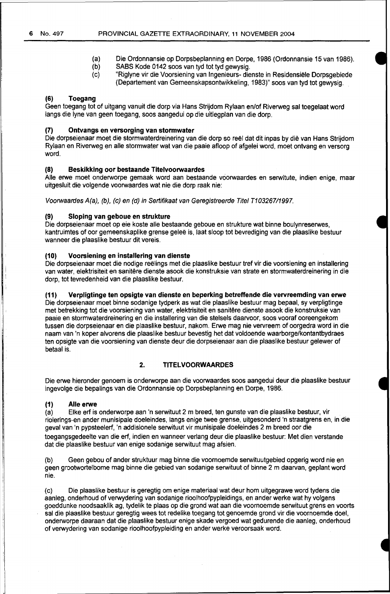- (a) Die Ordonnansie op Dorpsbeplanning en Dorpe, 1986 (Ordonnansie 15 van 1986).
- (b) SABS Kode 0142 soos van tyd tot tyd gewysig.<br>(c) Figlyne vir die Voorsiening van Ingenieurs- die
- "Riglyne vir die Voorsiening van Ingenieurs- dienste in Residensiële Dorpsgebiede (Departement van Gemeenskapsontwikkeling, 1983)" soos van tyd tot gewysig.

#### **(6) Toegang**

Geen toegang tot of uitgang vanuit die dorp via Hans Strijdom Rylaan en/of Riverweg sal toegelaat word tangs die lyne van geen toegang, soos aangedui op die uitlegplan van die dorp.

#### **(7) Ontvangs en versorging van stormwater**

Die dorpseienaar moet die stormwaterdreinering van die dorp so reël dat dit inpas by die van Hans Strijdom Rylaan en Riverweg en aile stormwater wat van die paaie afloop of afgelei word, moet ontvang en versorg word.

## **(8) Beskikking oor bestaande Titelvoorwaardes**

Aile erwe moet onderworpe gemaak word aan bestaande voorwaardes en serwitute, indien enige, maar uitgesluit die volgende voorwaardes wat nie die dorp raak nie:

Voorwaardes A(a), (b), (c) en (d) in Sertifikaat van Geregistreerde Titel T10326711997.

#### **(9) Sloping van geboue en strukture**

Die dorpseienaar moet op eie koste aile bestaande geboue en strukture wat binne boulynreserwes, kantruimtes of oor gemeenskaplike grense geleë is, laat sloop tot bevrediging van die plaaslike bestuur wanneer die plaaslike bestuur dit vereis.

#### **(10) Voorsiening en installering van dienste**

Die dorpseienaar moet die nodige reëlings met die plaaslike bestuur tref vir die voorsiening en installering van water, elektrisiteit en sanitêre dienste asook die konstruksie van strate en stormwaterdreinering in die dorp, tot tevredenheid van die plaaslike bestuur.

#### **(11) Verpligtinge ten opsigte van dienste en beperking betreffende die vervreemding van erwe**

Die dorpseienaar moet binne sodanige tydperk as wat die plaaslike bestuur mag bepaal, sy verpligtinge met betrekking tot die voorsiening van water, elektrisiteit en sanitere dienste asook die konstruksie van paaie en stormwaterdreinering en die installering van die stelsels daarvoor, soos vooraf ooreengekom tussen die dorpseienaar en die plaaslike bestuur, nakom. Erwe mag nie vervreem of oorgedra word in die naam van 'n koper alvorens die plaaslike bestuur bevestig het dat voldoende waarborge/kontantbydraes ten opsigte van die voorsiening van dienste deur die dorpseienaar aan die plaaslike bestuur gelewer of betaal is.

# **2. TITELVOORWAARDES**

Die erwe hieronder genoem is onderworpe aan die voorwaardes soos aangedui deur die plaaslike bestuur ingevolge die bepalings van die Ordonnansie op Dorpsbeplanning en Dorpe, 1986.

# **(1) Aile erwe**

(a) Elke erf is onderworpe aan 'n serwituut 2m breed, ten gunste van die plaaslike bestuur, vir riolerings-en ander munisipale doeleindes, langs enige twee grense, uitgesonderd 'n straatgrens en, in die geval van 'n pypsteelerf, 'n addisionele serwituut vir munisipale doeleindes 2 m breed oor die toegangsgedeelte van die erf, indien en wanneer verlang deur die plaaslike bestuur: Met dien verstande dat die plaaslike bestuur van enige sodanige serwituut mag afsien.

(b) Geen gebou of ander struktuur mag binne die voornoemde serwituutgebied opgerig word nie en geen grootwortelbome mag binne die gebied van sodanige serwituut of binne 2 m daarvan, geplant word nie.

(c) Die plaaslike bestuur is geregtig om enige materiaal wat deur hom uitgegrawe word tydens die aanleg, onderhoud of verwydering van sodanige rioolhoofpypleidings, en ander werke wat hy volgens goeddunke noodsaaklik ag, tydelik te plaas op die grand wat aan die voornoemde serwituut grens en voorts sal die plaaslike bestuur geregtig wees tot redelike toegang tot genoemde grand vir die voornoemde doel, onderworpe daaraan dat die plaaslike bestuur enige skade vergoed wat gedurende die aanleg, onderhoud of verwydering van sodanige rioolhoofpypleiding en ander werke veroorsaak word.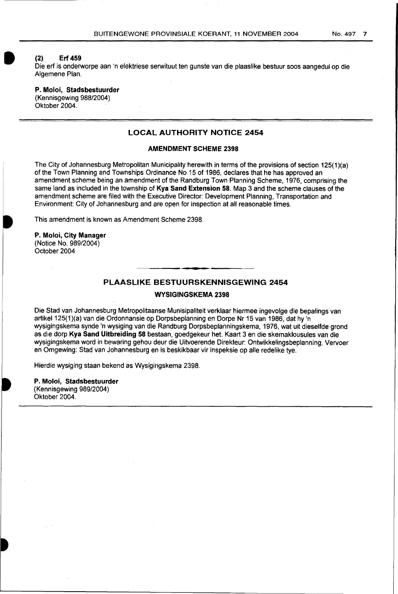#### **(2) Erf 459**

I

Die erf is onderworpe aan 'n elektriese serwituut ten gunste van die plaaslike bestuur soos aangedui op die Algemene Plan.

# **P. Moloi, Stadsbestuurder**

(Kennisgewing 988/2004) Oktober 2004.

# **LOCAL AUTHORITY NOTICE 2454**

#### **AMENDMENT SCHEME 2398**

The City of Johannesburg Metropolitan Municipality herewith in terms of the provisions of section 125(1)(a) of the Town Planning and Townships Ordinance No 15 of 1986, declares that he has approved an amendment scheme being an amendment of the Randburg Town Planning Scheme, 1976, comprising the same land as included in the township of **Kya Sand Extension 58.** Map 3 and the scheme clauses of the amendment scheme are filed with the Executive Director: Development Planning, Transportation and Environment: City of Johannesburg and are open for inspection at all reasonable times.

This amendment is known as Amendment Scheme 2398.

**P. Moloi, City Manager**  (Notice No. 989/2004) October 2004

# **PLAASLIKE BESTUURSKENNISGEWING 2454**

**WYSIGINGSKEMA 2398** 

Die Stad van Johannesburg Metropolitaanse Munisipaliteit verklaar hiermee ingevolge die bepalings van artikel 125(1)(a) van die Ordonnansie op Dorpsbeplanning en Dorpe Nr 15 van 1986, dat hy 'n wysigingskema synde 'n wysiging van die Randburg Dorpsbeplanningskema, 1976, wat uit dieselfde grond as die dorp **Kya Sand Uitbreiding 58** bestaan, goedgekeur het. Kaart 3 en die skemaklousules van die wysigingskema word in bewaring gehou deur die Uitvoerende Direkteur: Ontwikkelingsbeplanning, Vervoer en Omgewing: Stad van Johannesburg en is beskikbaar vir inspeksie op aile redelike tye.

Hierdie wysiging staan bekend as Wysigingskema 2398.

**P. Moloi, Stadsbestuurder**  (Kennisgewing 989/2004) Oktober 2004.